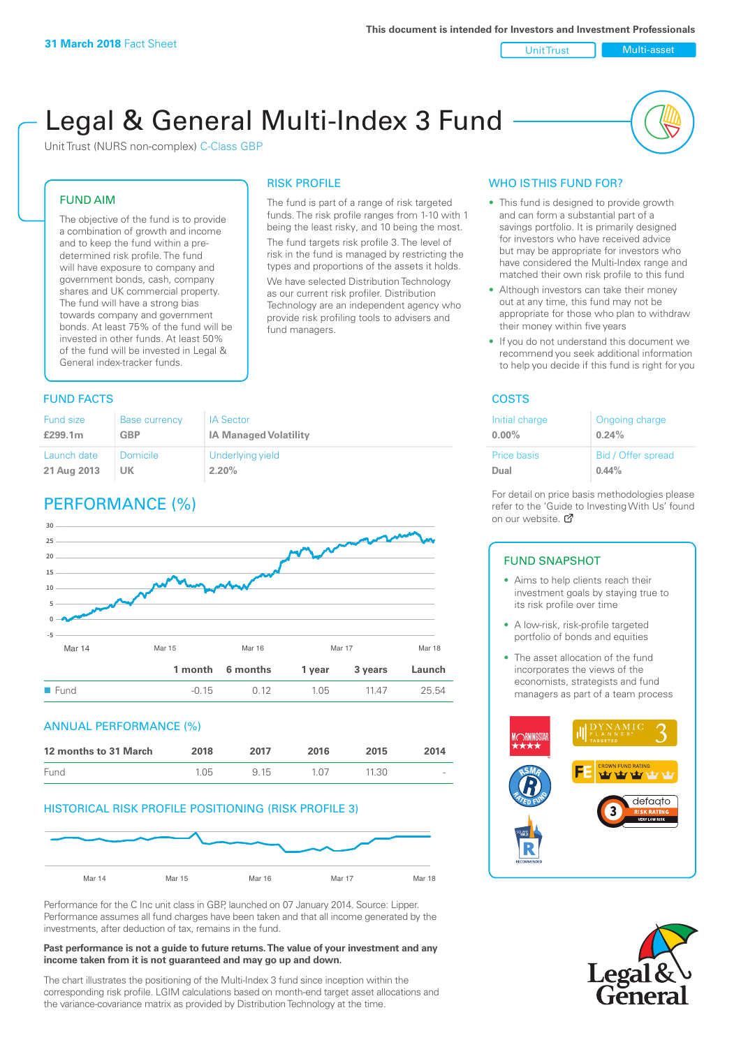#### Unit Trust Nulti-asset

# Legal & General Multi-Index 3 Fund

RISK PROFILE

fund managers.

The fund is part of a range of risk targeted funds. The risk profile ranges from 1-10 with 1 being the least risky, and 10 being the most. The fund targets risk profile 3. The level of risk in the fund is managed by restricting the types and proportions of the assets it holds. We have selected Distribution Technology as our current risk profiler. Distribution Technology are an independent agency who provide risk profiling tools to advisers and

Unit Trust (NURS non-complex) C-Class GBP

#### FUND AIM

The objective of the fund is to provide a combination of growth and income and to keep the fund within a predetermined risk profile. The fund will have exposure to company and government bonds, cash, company shares and UK commercial property. The fund will have a strong bias towards company and government bonds. At least 75% of the fund will be invested in other funds. At least 50% of the fund will be invested in Legal & General index-tracker funds.

#### **FUND FACTS** COSTS

| <b>Fund size</b> | <b>Base currency</b> | <b>IA Sector</b>             |
|------------------|----------------------|------------------------------|
| £299.1m          | <b>GBP</b>           | <b>IA Managed Volatility</b> |
| Launch date      | <b>Domicile</b>      | Underlying yield             |
| 21 Aug 2013      | UK                   | 2.20%                        |

# PERFORMANCE (%)



#### ANNUAL PERFORMANCE (%)



#### HISTORICAL RISK PROFILE POSITIONING (RISK PROFILE 3)



Performance for the C Inc unit class in GBP, launched on 07 January 2014. Source: Lipper. Performance assumes all fund charges have been taken and that all income generated by the investments, after deduction of tax, remains in the fund.

#### **Past performance is not a guide to future returns. The value of your investment and any income taken from it is not guaranteed and may go up and down.**

The chart illustrates the positioning of the Multi-Index 3 fund since inception within the corresponding risk profile. LGIM calculations based on month-end target asset allocations and the variance-covariance matrix as provided by Distribution Technology at the time.

#### WHO IS THIS FUND FOR?

- This fund is designed to provide growth and can form a substantial part of a savings portfolio. It is primarily designed for investors who have received advice but may be appropriate for investors who have considered the Multi-Index range and matched their own risk profile to this fund
- Although investors can take their money out at any time, this fund may not be appropriate for those who plan to withdraw their money within five years
- If you do not understand this document we recommend you seek additional information to help you decide if this fund is right for you

| Initial charge | Ongoing charge     |
|----------------|--------------------|
| $0.00\%$       | 0.24%              |
| Price basis    | Bid / Offer spread |
| Dual           | $0.44\%$           |

For detail on price basis methodologies please refer to the 'Gu[ide t](http://www.legalandgeneral.com/guide)o Investing With Us' found on our website. Ø

#### FUND SNAPSHOT

- Aims to help clients reach their investment goals by staying true to its risk profile over time
- A low-risk, risk-profile targeted portfolio of bonds and equities
- The asset allocation of the fund incorporates the views of the economists, strategists and fund managers as part of a team process



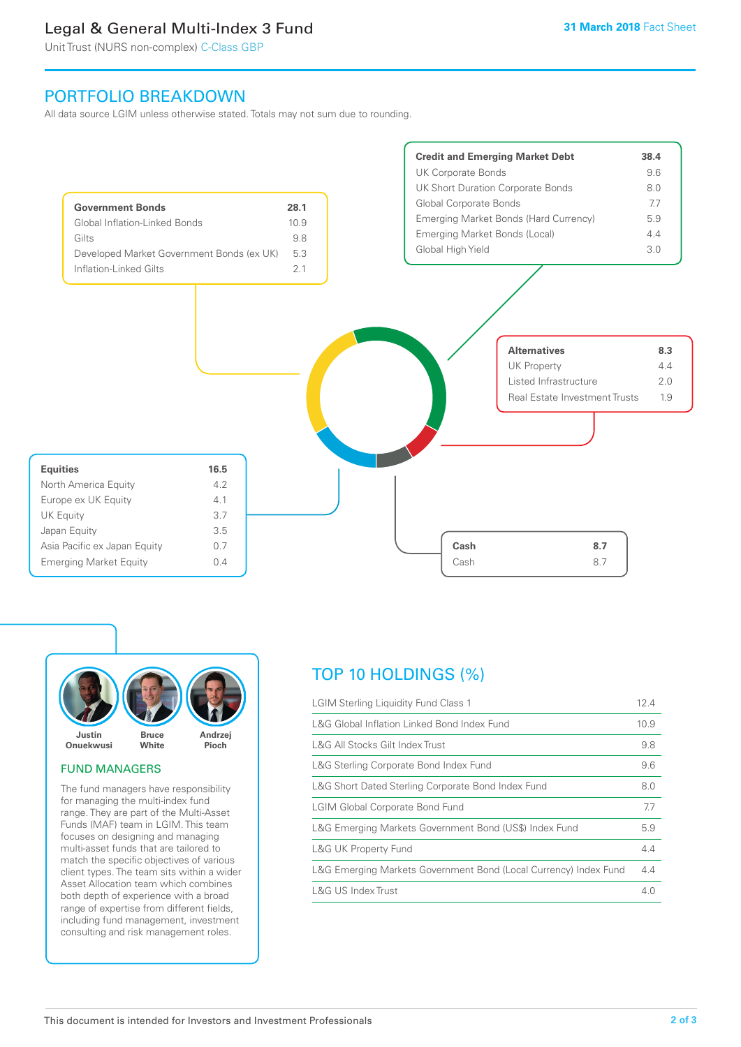# Legal & General Multi-Index 3 Fund

Unit Trust (NURS non-complex) C-Class GBP

## PORTFOLIO BREAKDOWN

All data source LGIM unless otherwise stated. Totals may not sum due to rounding.





#### FUND MANAGERS

The fund managers have responsibility for managing the multi-index fund range. They are part of the Multi-Asset Funds (MAF) team in LGIM. This team focuses on designing and managing multi-asset funds that are tailored to match the specific objectives of various client types. The team sits within a wider Asset Allocation team which combines both depth of experience with a broad range of expertise from different fields, including fund management, investment consulting and risk management roles.

# TOP 10 HOLDINGS (%)

| <b>LGIM Sterling Liquidity Fund Class 1</b>                      | 12.4 |
|------------------------------------------------------------------|------|
| L&G Global Inflation Linked Bond Index Fund                      | 10.9 |
| L&G All Stocks Gilt Index Trust                                  | 9.8  |
| L&G Sterling Corporate Bond Index Fund                           | 9.6  |
| L&G Short Dated Sterling Corporate Bond Index Fund               | 8.0  |
| <b>LGIM Global Corporate Bond Fund</b>                           | 7.7  |
| L&G Emerging Markets Government Bond (US\$) Index Fund           | 5.9  |
| <b>L&amp;G UK Property Fund</b>                                  | 4.4  |
| L&G Emerging Markets Government Bond (Local Currency) Index Fund | 4.4  |
| <b>L&amp;G US Index Trust</b>                                    | 4.0  |